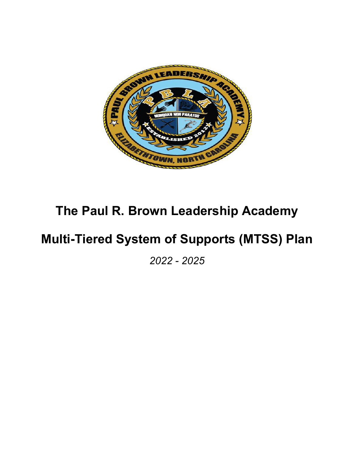

# **The Paul R. Brown Leadership Academy**

# **Multi-Tiered System of Supports (MTSS) Plan**

*2022 - 2025*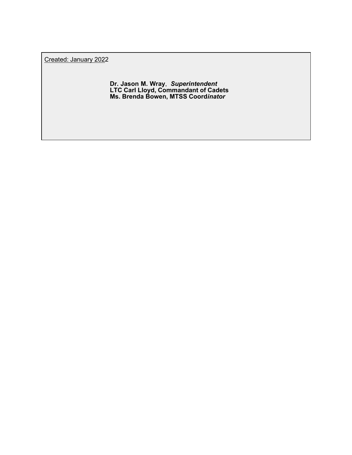Created: January 2022

**Dr. Jason M. Wray**, *Superintendent* **LTC Carl Lloyd, Commandant of Cadets Ms. Brenda Bowen, MTSS Coord***inator*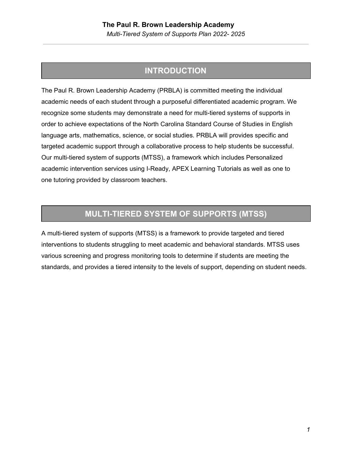## **INTRODUCTION**

The Paul R. Brown Leadership Academy (PRBLA) is committed meeting the individual academic needs of each student through a purposeful differentiated academic program. We recognize some students may demonstrate a need for multi-tiered systems of supports in order to achieve expectations of the North Carolina Standard Course of Studies in English language arts, mathematics, science, or social studies. PRBLA will provides specific and targeted academic support through a collaborative process to help students be successful. Our multi-tiered system of supports (MTSS), a framework which includes Personalized academic intervention services using I-Ready, APEX Learning Tutorials as well as one to one tutoring provided by classroom teachers.

## **MULTI-TIERED SYSTEM OF SUPPORTS (MTSS)**

A multi-tiered system of supports (MTSS) is a framework to provide targeted and tiered interventions to students struggling to meet academic and behavioral standards. MTSS uses various screening and progress monitoring tools to determine if students are meeting the standards, and provides a tiered intensity to the levels of support, depending on student needs.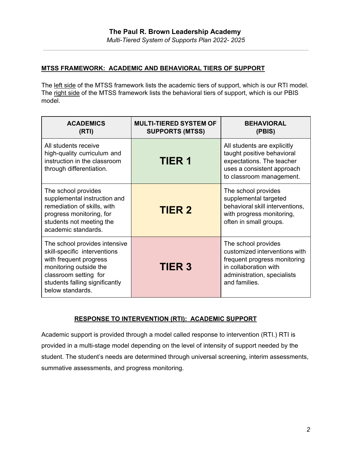## **MTSS FRAMEWORK: ACADEMIC AND BEHAVIORAL TIERS OF SUPPORT**

The left side of the MTSS framework lists the academic tiers of support, which is our RTI model. The right side of the MTSS framework lists the behavioral tiers of support, which is our PBIS model.

| <b>ACADEMICS</b><br>(RTI)                                                                                                                                                                        | <b>MULTI-TIERED SYSTEM OF</b><br><b>SUPPORTS (MTSS)</b> | <b>BEHAVIORAL</b><br>(PBIS)                                                                                                                                   |  |
|--------------------------------------------------------------------------------------------------------------------------------------------------------------------------------------------------|---------------------------------------------------------|---------------------------------------------------------------------------------------------------------------------------------------------------------------|--|
| All students receive<br>high-quality curriculum and<br>instruction in the classroom<br>through differentiation.                                                                                  | <b>TIER 1</b>                                           | All students are explicitly<br>taught positive behavioral<br>expectations. The teacher<br>uses a consistent approach<br>to classroom management.              |  |
| The school provides<br>supplemental instruction and<br>remediation of skills, with<br>progress monitoring, for<br>students not meeting the<br>academic standards.                                | <b>TIER 2</b>                                           | The school provides<br>supplemental targeted<br>behavioral skill interventions,<br>with progress monitoring,<br>often in small groups.                        |  |
| The school provides intensive<br>skill-specific interventions<br>with frequent progress<br>monitoring outside the<br>classroom setting for<br>students falling significantly<br>below standards. | <b>TIER 3</b>                                           | The school provides<br>customized interventions with<br>frequent progress monitoring<br>in collaboration with<br>administration, specialists<br>and families. |  |

## **RESPONSE TO INTERVENTION (RTI): ACADEMIC SUPPORT**

Academic support is provided through a model called response to intervention (RTI.) RTI is provided in a multi-stage model depending on the level of intensity of support needed by the student. The student's needs are determined through universal screening, interim assessments, summative assessments, and progress monitoring.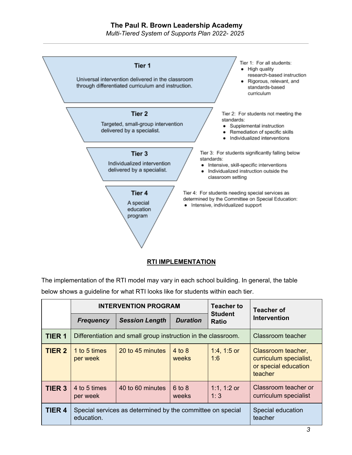## **The Paul R. Brown Leadership Academy**

*Multi-Tiered System of Supports Plan 2022- 2025*



#### **RTI IMPLEMENTATION**

The implementation of the RTI model may vary in each school building. In general, the table below shows a guideline for what RTI looks like for students within each tier.

|               | <b>INTERVENTION PROGRAM</b>                                              |                       | <b>Teacher to</b>   | <b>Teacher of</b>              |                                                                                 |
|---------------|--------------------------------------------------------------------------|-----------------------|---------------------|--------------------------------|---------------------------------------------------------------------------------|
|               | <b>Frequency</b>                                                         | <b>Session Length</b> | <b>Duration</b>     | <b>Student</b><br><b>Ratio</b> | <b>Intervention</b>                                                             |
| <b>TIER 1</b> | Differentiation and small group instruction in the classroom.            | Classroom teacher     |                     |                                |                                                                                 |
| <b>TIER 2</b> | 1 to 5 times<br>per week                                                 | 20 to 45 minutes      | $4$ to 8<br>weeks   | 1:4, 1:5 or<br>1:6             | Classroom teacher,<br>curriculum specialist,<br>or special education<br>teacher |
| <b>TIER 3</b> | 4 to 5 times<br>per week                                                 | 40 to 60 minutes      | $6$ to $8$<br>weeks | 1:1, 1:2 or<br>1:3             | Classroom teacher or<br>curriculum specialist                                   |
| <b>TIER 4</b> | Special services as determined by the committee on special<br>education. |                       |                     |                                | Special education<br>teacher                                                    |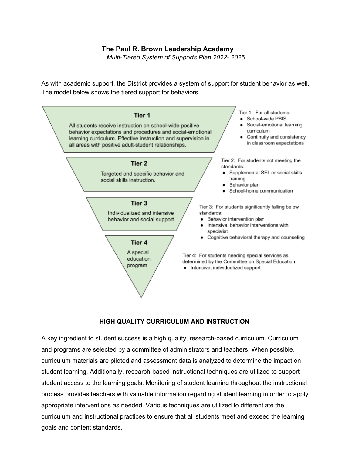*Multi-Tiered System of Supports Plan 2022- 202*5

As with academic support, the District provides a system of support for student behavior as well. The model below shows the tiered support for behaviors.



### **HIGH QUALITY CURRICULUM AND INSTRUCTION**

A key ingredient to student success is a high quality, research-based curriculum. Curriculum and programs are selected by a committee of administrators and teachers. When possible, curriculum materials are piloted and assessment data is analyzed to determine the impact on student learning. Additionally, research-based instructional techniques are utilized to support student access to the learning goals. Monitoring of student learning throughout the instructional process provides teachers with valuable information regarding student learning in order to apply appropriate interventions as needed. Various techniques are utilized to differentiate the curriculum and instructional practices to ensure that all students meet and exceed the learning goals and content standards.